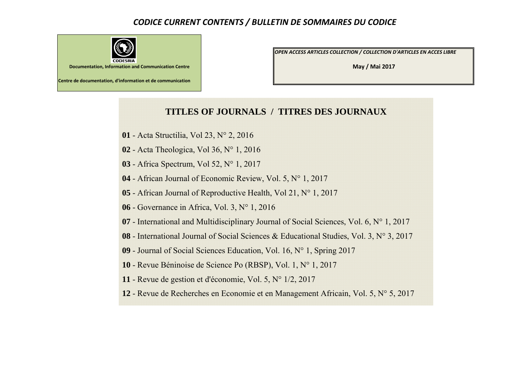## *CODICE CURRENT CONTENTS / BULLETIN DE SOMMAIRES DU CODICE*



*OPEN ACCESS ARTICLES COLLECTION / COLLECTION D'ARTICLES EN ACCES LIBRE*

**May / Mai 2017**

## **TITLES OF JOURNALS / TITRES DES JOURNAUX**

- Acta Structilia, Vol 23, N° 2, 2016
- Acta Theologica, Vol 36, N° 1, 2016
- Africa Spectrum, Vol 52, N° 1, 2017
- African Journal of Economic Review, Vol. 5, N° 1, 2017
- African Journal of Reproductive Health, Vol 21, N° 1, 2017
- Governance in Africa, Vol. 3, N° 1, 2016
- International and Multidisciplinary Journal of Social Sciences, Vol. 6, N° 1, 2017
- International Journal of Social Sciences & Educational Studies, Vol. 3, N° 3, 2017
- Journal of Social Sciences Education, Vol. 16, N° 1, Spring 2017
- Revue Béninoise de Science Po (RBSP), Vol. 1, N° 1, 2017
- Revue de gestion et d'économie, Vol. 5, N° 1/2, 2017
- Revue de Recherches en Economie et en Management Africain, Vol. 5, N° 5, 2017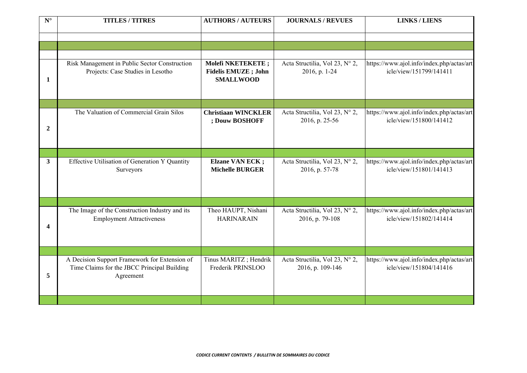| ${\bf N}^\circ$ | <b>TITLES / TITRES</b>                                                                                    | <b>AUTHORS / AUTEURS</b>                                             | <b>JOURNALS / REVUES</b>                           | <b>LINKS / LIENS</b>                                                 |
|-----------------|-----------------------------------------------------------------------------------------------------------|----------------------------------------------------------------------|----------------------------------------------------|----------------------------------------------------------------------|
|                 |                                                                                                           |                                                                      |                                                    |                                                                      |
| 1               | Risk Management in Public Sector Construction<br>Projects: Case Studies in Lesotho                        | Molefi NKETEKETE;<br><b>Fidelis EMUZE</b> ; John<br><b>SMALLWOOD</b> | Acta Structilia, Vol 23, N° 2,<br>2016, p. 1-24    | https://www.ajol.info/index.php/actas/art<br>icle/view/151799/141411 |
| $\overline{2}$  | The Valuation of Commercial Grain Silos                                                                   | <b>Christiaan WINCKLER</b><br>; Douw BOSHOFF                         | Acta Structilia, Vol 23, N° 2,<br>2016, p. 25-56   | https://www.ajol.info/index.php/actas/art<br>icle/view/151800/141412 |
|                 |                                                                                                           |                                                                      |                                                    |                                                                      |
| 3 <sup>1</sup>  | Effective Utilisation of Generation Y Quantity<br>Surveyors                                               | <b>Elzane VAN ECK;</b><br><b>Michelle BURGER</b>                     | Acta Structilia, Vol 23, N° 2,<br>2016, p. 57-78   | https://www.ajol.info/index.php/actas/art<br>icle/view/151801/141413 |
|                 |                                                                                                           |                                                                      |                                                    |                                                                      |
| 4               | The Image of the Construction Industry and its<br><b>Employment Attractiveness</b>                        | Theo HAUPT, Nishani<br><b>HARINARAIN</b>                             | Acta Structilia, Vol 23, N° 2,<br>2016, p. 79-108  | https://www.ajol.info/index.php/actas/art<br>icle/view/151802/141414 |
|                 |                                                                                                           |                                                                      |                                                    |                                                                      |
| 5               | A Decision Support Framework for Extension of<br>Time Claims for the JBCC Principal Building<br>Agreement | Tinus MARITZ; Hendrik<br>Frederik PRINSLOO                           | Acta Structilia, Vol 23, N° 2,<br>2016, p. 109-146 | https://www.ajol.info/index.php/actas/art<br>icle/view/151804/141416 |
|                 |                                                                                                           |                                                                      |                                                    |                                                                      |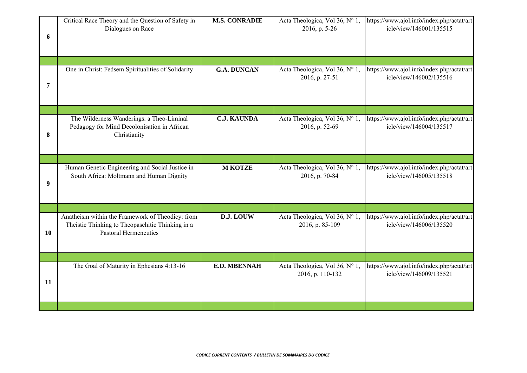| 6  | Critical Race Theory and the Question of Safety in<br>Dialogues on Race                                                              | <b>M.S. CONRADIE</b> | Acta Theologica, Vol 36, N° 1,<br>2016, p. 5-26    | https://www.ajol.info/index.php/actat/art<br>icle/view/146001/135515 |
|----|--------------------------------------------------------------------------------------------------------------------------------------|----------------------|----------------------------------------------------|----------------------------------------------------------------------|
|    |                                                                                                                                      |                      |                                                    |                                                                      |
| 7  | One in Christ: Fedsem Spiritualities of Solidarity                                                                                   | <b>G.A. DUNCAN</b>   | Acta Theologica, Vol 36, N° 1,<br>2016, p. 27-51   | https://www.ajol.info/index.php/actat/art<br>icle/view/146002/135516 |
|    |                                                                                                                                      |                      |                                                    |                                                                      |
| 8  | The Wilderness Wanderings: a Theo-Liminal<br>Pedagogy for Mind Decolonisation in African<br>Christianity                             | <b>C.J. KAUNDA</b>   | Acta Theologica, Vol 36, N° 1,<br>2016, p. 52-69   | https://www.ajol.info/index.php/actat/art<br>icle/view/146004/135517 |
|    |                                                                                                                                      |                      |                                                    |                                                                      |
| 9  | Human Genetic Engineering and Social Justice in<br>South Africa: Moltmann and Human Dignity                                          | <b>M KOTZE</b>       | Acta Theologica, Vol 36, N° 1,<br>2016, p. 70-84   | https://www.ajol.info/index.php/actat/art<br>icle/view/146005/135518 |
|    |                                                                                                                                      |                      |                                                    |                                                                      |
| 10 | Anatheism within the Framework of Theodicy: from<br>Theistic Thinking to Theopaschitic Thinking in a<br><b>Pastoral Hermeneutics</b> | D.J. LOUW            | Acta Theologica, Vol 36, N° 1,<br>2016, p. 85-109  | https://www.ajol.info/index.php/actat/art<br>icle/view/146006/135520 |
|    |                                                                                                                                      |                      |                                                    |                                                                      |
| 11 | The Goal of Maturity in Ephesians 4:13-16                                                                                            | <b>E.D. MBENNAH</b>  | Acta Theologica, Vol 36, N° 1,<br>2016, p. 110-132 | https://www.ajol.info/index.php/actat/art<br>icle/view/146009/135521 |
|    |                                                                                                                                      |                      |                                                    |                                                                      |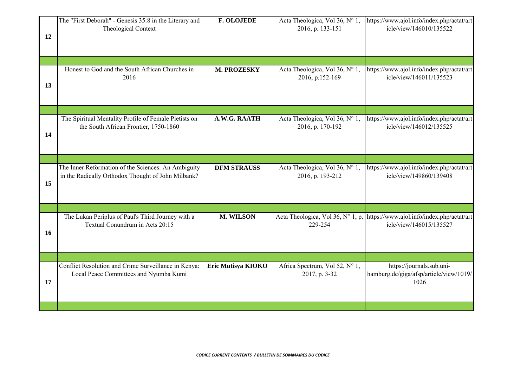| 12 | The "First Deborah" - Genesis 35:8 in the Literary and<br>Theological Context                             | <b>F. OLOJEDE</b>  | Acta Theologica, Vol 36, N° 1,<br>2016, p. 133-151 | https://www.ajol.info/index.php/actat/art<br>icle/view/146010/135522                                   |
|----|-----------------------------------------------------------------------------------------------------------|--------------------|----------------------------------------------------|--------------------------------------------------------------------------------------------------------|
|    | Honest to God and the South African Churches in                                                           | M. PROZESKY        | Acta Theologica, Vol 36, N° 1,                     | https://www.ajol.info/index.php/actat/art                                                              |
| 13 | 2016                                                                                                      |                    | 2016, p.152-169                                    | icle/view/146011/135523                                                                                |
|    |                                                                                                           |                    |                                                    |                                                                                                        |
| 14 | The Spiritual Mentality Profile of Female Pietists on<br>the South African Frontier, 1750-1860            | A.W.G. RAATH       | Acta Theologica, Vol 36, N° 1,<br>2016, p. 170-192 | https://www.ajol.info/index.php/actat/art<br>icle/view/146012/135525                                   |
|    |                                                                                                           |                    |                                                    |                                                                                                        |
| 15 | The Inner Reformation of the Sciences: An Ambiguity<br>in the Radically Orthodox Thought of John Milbank? | <b>DFM STRAUSS</b> | Acta Theologica, Vol 36, N° 1,<br>2016, p. 193-212 | https://www.ajol.info/index.php/actat/art<br>icle/view/149860/139408                                   |
|    |                                                                                                           |                    |                                                    |                                                                                                        |
| 16 | The Lukan Periplus of Paul's Third Journey with a<br>Textual Conundrum in Acts 20:15                      | <b>M. WILSON</b>   | 229-254                                            | Acta Theologica, Vol 36, N° 1, p. https://www.ajol.info/index.php/actat/art<br>icle/view/146015/135527 |
|    |                                                                                                           |                    |                                                    |                                                                                                        |
| 17 | Conflict Resolution and Crime Surveillance in Kenya:<br>Local Peace Committees and Nyumba Kumi            | Eric Mutisya KIOKO | Africa Spectrum, Vol 52, N° 1,<br>2017, p. 3-32    | https://journals.sub.uni-<br>hamburg.de/giga/afsp/article/view/1019/<br>1026                           |
|    |                                                                                                           |                    |                                                    |                                                                                                        |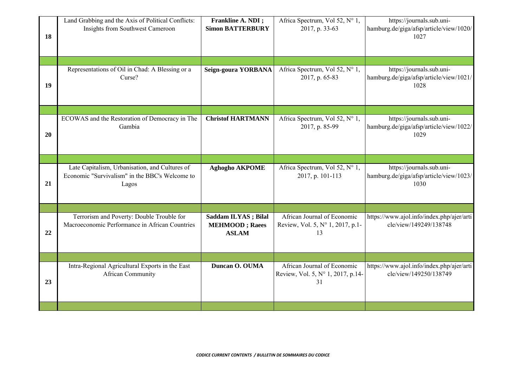| 18 | Land Grabbing and the Axis of Political Conflicts:<br>Insights from Southwest Cameroon                    | Frankline A. NDI;<br><b>Simon BATTERBURY</b>                  | Africa Spectrum, Vol 52, N° 1,<br>2017, p. 33-63                       | https://journals.sub.uni-<br>hamburg.de/giga/afsp/article/view/1020/<br>1027 |
|----|-----------------------------------------------------------------------------------------------------------|---------------------------------------------------------------|------------------------------------------------------------------------|------------------------------------------------------------------------------|
|    |                                                                                                           |                                                               |                                                                        |                                                                              |
| 19 | Representations of Oil in Chad: A Blessing or a<br>Curse?                                                 | Seign-goura YORBANA                                           | Africa Spectrum, Vol 52, N° 1,<br>2017, p. 65-83                       | https://journals.sub.uni-<br>hamburg.de/giga/afsp/article/view/1021/<br>1028 |
|    |                                                                                                           |                                                               |                                                                        |                                                                              |
| 20 | ECOWAS and the Restoration of Democracy in The<br>Gambia                                                  | <b>Christof HARTMANN</b>                                      | Africa Spectrum, Vol 52, N° 1,<br>2017, p. 85-99                       | https://journals.sub.uni-<br>hamburg.de/giga/afsp/article/view/1022/<br>1029 |
|    |                                                                                                           |                                                               |                                                                        |                                                                              |
| 21 | Late Capitalism, Urbanisation, and Cultures of<br>Economic "Survivalism" in the BBC's Welcome to<br>Lagos | <b>Aghogho AKPOME</b>                                         | Africa Spectrum, Vol 52, N° 1,<br>2017, p. 101-113                     | https://journals.sub.uni-<br>hamburg.de/giga/afsp/article/view/1023/<br>1030 |
|    |                                                                                                           |                                                               |                                                                        |                                                                              |
| 22 | Terrorism and Poverty: Double Trouble for<br>Macroeconomic Performance in African Countries               | Saddam ILYAS; Bilal<br><b>MEHMOOD</b> ; Raees<br><b>ASLAM</b> | African Journal of Economic<br>Review, Vol. 5, N° 1, 2017, p.1-<br>13  | https://www.ajol.info/index.php/ajer/arti<br>cle/view/149249/138748          |
|    |                                                                                                           |                                                               |                                                                        |                                                                              |
| 23 | Intra-Regional Agricultural Exports in the East<br><b>African Community</b>                               | Duncan O. OUMA                                                | African Journal of Economic<br>Review, Vol. 5, N° 1, 2017, p.14-<br>31 | https://www.ajol.info/index.php/ajer/arti<br>cle/view/149250/138749          |
|    |                                                                                                           |                                                               |                                                                        |                                                                              |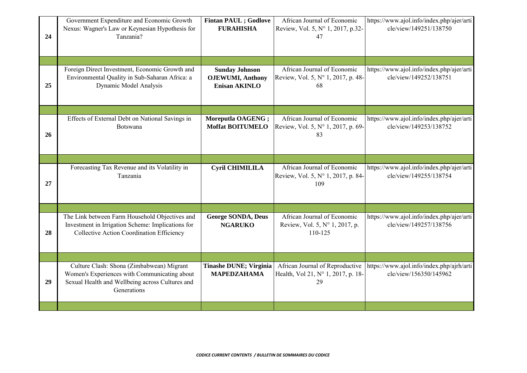| 24 | Government Expenditure and Economic Growth<br>Nexus: Wagner's Law or Keynesian Hypothesis for<br>Tanzania?                                                  | <b>Fintan PAUL</b> ; Godlove<br><b>FURAHISHA</b>                          | African Journal of Economic<br>Review, Vol. 5, N° 1, 2017, p.32-<br>47      | https://www.ajol.info/index.php/ajer/arti<br>cle/view/149251/138750 |
|----|-------------------------------------------------------------------------------------------------------------------------------------------------------------|---------------------------------------------------------------------------|-----------------------------------------------------------------------------|---------------------------------------------------------------------|
| 25 | Foreign Direct Investment, Economic Growth and<br>Environmental Quality in Sub-Saharan Africa: a<br>Dynamic Model Analysis                                  | <b>Sunday Johnson</b><br><b>OJEWUMI</b> , Anthony<br><b>Enisan AKINLO</b> | African Journal of Economic<br>Review, Vol. 5, N° 1, 2017, p. 48-<br>68     | https://www.ajol.info/index.php/ajer/arti<br>cle/view/149252/138751 |
| 26 | Effects of External Debt on National Savings in<br><b>Botswana</b>                                                                                          | Moreputla OAGENG;<br><b>Moffat BOITUMELO</b>                              | African Journal of Economic<br>Review, Vol. 5, N° 1, 2017, p. 69-<br>83     | https://www.ajol.info/index.php/ajer/arti<br>cle/view/149253/138752 |
| 27 | Forecasting Tax Revenue and its Volatility in<br>Tanzania                                                                                                   | <b>Cyril CHIMILILA</b>                                                    | African Journal of Economic<br>Review, Vol. 5, N° 1, 2017, p. 84-<br>109    | https://www.ajol.info/index.php/ajer/arti<br>cle/view/149255/138754 |
| 28 | The Link between Farm Household Objectives and<br>Investment in Irrigation Scheme: Implications for<br><b>Collective Action Coordination Efficiency</b>     | <b>George SONDA, Deus</b><br><b>NGARUKO</b>                               | African Journal of Economic<br>Review, Vol. 5, N° 1, 2017, p.<br>110-125    | https://www.ajol.info/index.php/ajer/arti<br>cle/view/149257/138756 |
| 29 | Culture Clash: Shona (Zimbabwean) Migrant<br>Women's Experiences with Communicating about<br>Sexual Health and Wellbeing across Cultures and<br>Generations | Tinashe DUNE; Virginia<br><b>MAPEDZAHAMA</b>                              | African Journal of Reproductive<br>Health, Vol 21, N° 1, 2017, p. 18-<br>29 | https://www.ajol.info/index.php/ajrh/arti<br>cle/view/156350/145962 |
|    |                                                                                                                                                             |                                                                           |                                                                             |                                                                     |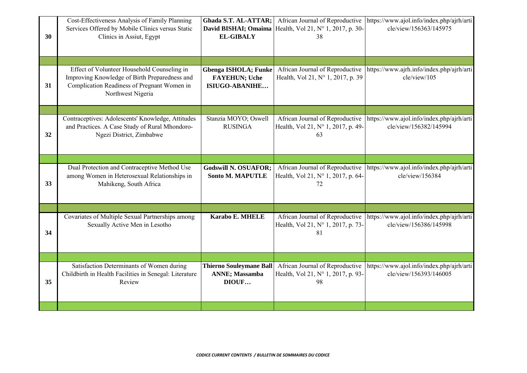| 30 | Cost-Effectiveness Analysis of Family Planning<br>Services Offered by Mobile Clinics versus Static<br>Clinics in Assiut, Egypt                                   | Ghada S.T. AL-ATTAR;<br>David BISHAI; Omaima<br><b>EL-GIBALY</b>             | African Journal of Reproductive<br>Health, Vol 21, N° 1, 2017, p. 30-<br>38 | https://www.ajol.info/index.php/ajrh/arti<br>cle/view/156363/145975 |
|----|------------------------------------------------------------------------------------------------------------------------------------------------------------------|------------------------------------------------------------------------------|-----------------------------------------------------------------------------|---------------------------------------------------------------------|
| 31 | Effect of Volunteer Household Counseling in<br>Improving Knowledge of Birth Preparedness and<br>Complication Readiness of Pregnant Women in<br>Northwest Nigeria | <b>Gbenga ISHOLA; Funke</b><br><b>FAYEHUN; Uche</b><br><b>ISIUGO-ABANIHE</b> | African Journal of Reproductive<br>Health, Vol 21, N° 1, 2017, p. 39        | https://www.ajrh.info/index.php/ajrh/arti<br>cle/view/105           |
| 32 | Contraceptives: Adolescents' Knowledge, Attitudes<br>and Practices. A Case Study of Rural Mhondoro-<br>Ngezi District, Zimbabwe                                  | Stanzia MOYO; Oswell<br><b>RUSINGA</b>                                       | African Journal of Reproductive<br>Health, Vol 21, N° 1, 2017, p. 49-<br>63 | https://www.ajol.info/index.php/ajrh/arti<br>cle/view/156382/145994 |
| 33 | Dual Protection and Contraceptive Method Use<br>among Women in Heterosexual Relationships in<br>Mahikeng, South Africa                                           | <b>Godswill N. OSUAFOR:</b><br><b>Sonto M. MAPUTLE</b>                       | African Journal of Reproductive<br>Health, Vol 21, N° 1, 2017, p. 64-<br>72 | https://www.ajol.info/index.php/ajrh/arti<br>cle/view/156384        |
| 34 | Covariates of Multiple Sexual Partnerships among<br>Sexually Active Men in Lesotho                                                                               | <b>Karabo E. MHELE</b>                                                       | African Journal of Reproductive<br>Health, Vol 21, N° 1, 2017, p. 73-<br>81 | https://www.ajol.info/index.php/ajrh/arti<br>cle/view/156386/145998 |
| 35 | Satisfaction Determinants of Women during<br>Childbirth in Health Facilities in Senegal: Literature<br>Review                                                    | <b>Thierno Souleymane Ball</b><br><b>ANNE</b> ; Massamba<br>DIOUF            | African Journal of Reproductive<br>Health, Vol 21, N° 1, 2017, p. 93-<br>98 | https://www.ajol.info/index.php/ajrh/arti<br>cle/view/156393/146005 |
|    |                                                                                                                                                                  |                                                                              |                                                                             |                                                                     |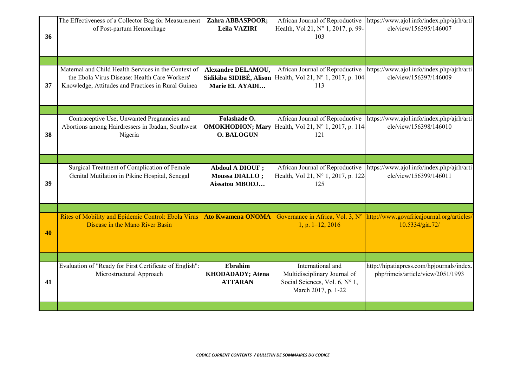| 36 | The Effectiveness of a Collector Bag for Measurement<br>of Post-partum Hemorrhage                                                                           | Zahra ABBASPOOR;<br>Leila VAZIRI                                          | African Journal of Reproductive<br>Health, Vol 21, N° 1, 2017, p. 99-<br>103                               | https://www.ajol.info/index.php/ajrh/arti<br>cle/view/156395/146007                            |
|----|-------------------------------------------------------------------------------------------------------------------------------------------------------------|---------------------------------------------------------------------------|------------------------------------------------------------------------------------------------------------|------------------------------------------------------------------------------------------------|
| 37 | Maternal and Child Health Services in the Context of<br>the Ebola Virus Disease: Health Care Workers'<br>Knowledge, Attitudes and Practices in Rural Guinea | <b>Alexandre DELAMOU,</b><br>Sidikiba SIDIBÉ, Alison<br>Marie EL AYADI    | African Journal of Reproductive<br>Health, Vol 21, N° 1, 2017, p. 104<br>113                               | https://www.ajol.info/index.php/ajrh/arti<br>cle/view/156397/146009                            |
| 38 | Contraceptive Use, Unwanted Pregnancies and<br>Abortions among Hairdressers in Ibadan, Southwest<br>Nigeria                                                 | Folashade O.<br><b>OMOKHODION; Mary</b><br><b>O. BALOGUN</b>              | African Journal of Reproductive<br>Health, Vol 21, N° 1, 2017, p. 114<br>121                               | https://www.ajol.info/index.php/ajrh/arti<br>cle/view/156398/146010                            |
| 39 | Surgical Treatment of Complication of Female<br>Genital Mutilation in Pikine Hospital, Senegal                                                              | <b>Abdoul A DIOUF ;</b><br><b>Moussa DIALLO;</b><br><b>Aissatou MBODJ</b> | African Journal of Reproductive<br>Health, Vol 21, N° 1, 2017, p. 122-<br>125                              | https://www.ajol.info/index.php/ajrh/arti<br>cle/view/156399/146011                            |
| 40 | Rites of Mobility and Epidemic Control: Ebola Virus<br>Disease in the Mano River Basin                                                                      | <b>Ato Kwamena ONOMA</b>                                                  | $1, p. 1-12, 2016$                                                                                         | Governance in Africa, Vol. 3, N°  http://www.govafricajournal.org/articles/<br>10.5334/gia.72/ |
| 41 | Evaluation of "Ready for First Certificate of English":<br>Microstructural Approach                                                                         | Ebrahim<br><b>KHODADADY; Atena</b><br><b>ATTARAN</b>                      | International and<br>Multidisciplinary Journal of<br>Social Sciences, Vol. 6, N° 1,<br>March 2017, p. 1-22 | http://hipatiapress.com/hpjournals/index.<br>php/rimcis/article/view/2051/1993                 |
|    |                                                                                                                                                             |                                                                           |                                                                                                            |                                                                                                |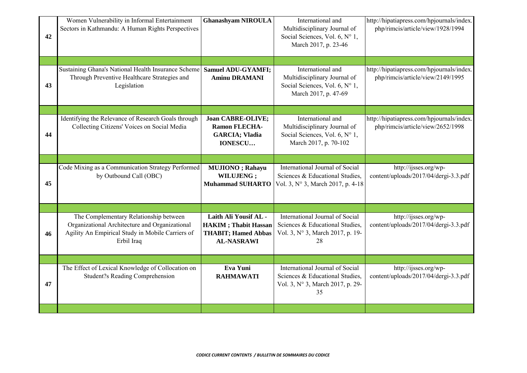| 42 | Women Vulnerability in Informal Entertainment<br>Sectors in Kathmandu: A Human Rights Perspectives                                                         | <b>Ghanashyam NIROULA</b>                                                                                | International and<br>Multidisciplinary Journal of<br>Social Sciences, Vol. 6, N° 1,<br>March 2017, p. 23-46  | http://hipatiapress.com/hpjournals/index.<br>php/rimcis/article/view/1928/1994 |
|----|------------------------------------------------------------------------------------------------------------------------------------------------------------|----------------------------------------------------------------------------------------------------------|--------------------------------------------------------------------------------------------------------------|--------------------------------------------------------------------------------|
| 43 | Sustaining Ghana's National Health Insurance Scheme<br>Through Preventive Healthcare Strategies and<br>Legislation                                         | <b>Samuel ADU-GYAMFI;</b><br><b>Aminu DRAMANI</b>                                                        | International and<br>Multidisciplinary Journal of<br>Social Sciences, Vol. 6, N° 1,<br>March 2017, p. 47-69  | http://hipatiapress.com/hpjournals/index.<br>php/rimcis/article/view/2149/1995 |
| 44 | Identifying the Relevance of Research Goals through<br>Collecting Citizens' Voices on Social Media                                                         | <b>Joan CABRE-OLIVE;</b><br><b>Ramon FLECHA-</b><br><b>GARCIA; Vladia</b><br><b>IONESCU</b>              | International and<br>Multidisciplinary Journal of<br>Social Sciences, Vol. 6, N° 1,<br>March 2017, p. 70-102 | http://hipatiapress.com/hpjournals/index.<br>php/rimcis/article/view/2652/1998 |
| 45 | Code Mixing as a Communication Strategy Performed<br>by Outbound Call (OBC)                                                                                | <b>MUJIONO</b> ; Rahayu<br>WILUJENG;<br><b>Muhammad SUHARTO</b>                                          | International Journal of Social<br>Sciences & Educational Studies,<br>Vol. 3, N° 3, March 2017, p. 4-18      | http://ijsses.org/wp-<br>content/uploads/2017/04/dergi-3.3.pdf                 |
| 46 | The Complementary Relationship between<br>Organizational Architecture and Organizational<br>Agility An Empirical Study in Mobile Carriers of<br>Erbil Iraq | Laith Ali Yousif AL -<br><b>HAKIM</b> ; Thabit Hassan<br><b>THABIT; Hamed Abbas</b><br><b>AL-NASRAWI</b> | International Journal of Social<br>Sciences & Educational Studies,<br>Vol. 3, N° 3, March 2017, p. 19-<br>28 | http://ijsses.org/wp-<br>content/uploads/2017/04/dergi-3.3.pdf                 |
| 47 | The Effect of Lexical Knowledge of Collocation on<br><b>Student?s Reading Comprehension</b>                                                                | Eva Yuni<br><b>RAHMAWATI</b>                                                                             | International Journal of Social<br>Sciences & Educational Studies,<br>Vol. 3, N° 3, March 2017, p. 29-<br>35 | http://ijsses.org/wp-<br>content/uploads/2017/04/dergi-3.3.pdf                 |
|    |                                                                                                                                                            |                                                                                                          |                                                                                                              |                                                                                |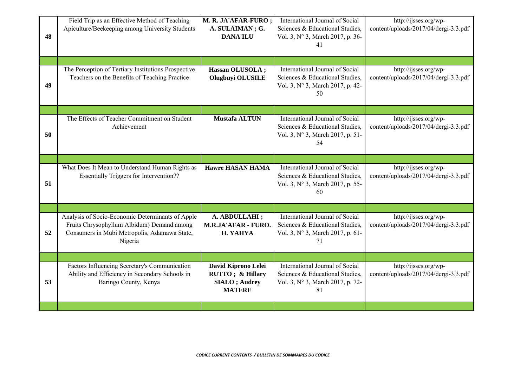| 48 | Field Trip as an Effective Method of Teaching<br>Apiculture/Beekeeping among University Students                                                          | M. R. JA'AFAR-FURO ;<br>A. SULAIMAN; G.<br><b>DANA'ILU</b>                        | International Journal of Social<br>Sciences & Educational Studies,<br>Vol. 3, N° 3, March 2017, p. 36-<br>41 | http://ijsses.org/wp-<br>content/uploads/2017/04/dergi-3.3.pdf |
|----|-----------------------------------------------------------------------------------------------------------------------------------------------------------|-----------------------------------------------------------------------------------|--------------------------------------------------------------------------------------------------------------|----------------------------------------------------------------|
| 49 | The Perception of Tertiary Institutions Prospective<br>Teachers on the Benefits of Teaching Practice                                                      | Hassan OLUSOLA ;<br>Olugbuyi OLUSILE                                              | International Journal of Social<br>Sciences & Educational Studies,<br>Vol. 3, N° 3, March 2017, p. 42-<br>50 | http://ijsses.org/wp-<br>content/uploads/2017/04/dergi-3.3.pdf |
| 50 | The Effects of Teacher Commitment on Student<br>Achievement                                                                                               | <b>Mustafa ALTUN</b>                                                              | International Journal of Social<br>Sciences & Educational Studies,<br>Vol. 3, N° 3, March 2017, p. 51-<br>54 | http://ijsses.org/wp-<br>content/uploads/2017/04/dergi-3.3.pdf |
| 51 | What Does It Mean to Understand Human Rights as<br><b>Essentially Triggers for Intervention??</b>                                                         | <b>Hawre HASAN HAMA</b>                                                           | International Journal of Social<br>Sciences & Educational Studies,<br>Vol. 3, N° 3, March 2017, p. 55-<br>60 | http://ijsses.org/wp-<br>content/uploads/2017/04/dergi-3.3.pdf |
| 52 | Analysis of Socio-Economic Determinants of Apple<br>Fruits Chrysophyllum Albidum) Demand among<br>Consumers in Mubi Metropolis, Adamawa State,<br>Nigeria | A. ABDULLAHI ;<br>M.R.JA'AFAR - FURO.<br>H. YAHYA                                 | International Journal of Social<br>Sciences & Educational Studies,<br>Vol. 3, N° 3, March 2017, p. 61-<br>71 | http://ijsses.org/wp-<br>content/uploads/2017/04/dergi-3.3.pdf |
| 53 | Factors Influencing Secretary's Communication<br>Ability and Efficiency in Secondary Schools in<br>Baringo County, Kenya                                  | David Kiprono Lelei<br>RUTTO; & Hillary<br><b>SIALO</b> ; Audrey<br><b>MATERE</b> | International Journal of Social<br>Sciences & Educational Studies,<br>Vol. 3, N° 3, March 2017, p. 72-<br>81 | http://ijsses.org/wp-<br>content/uploads/2017/04/dergi-3.3.pdf |
|    |                                                                                                                                                           |                                                                                   |                                                                                                              |                                                                |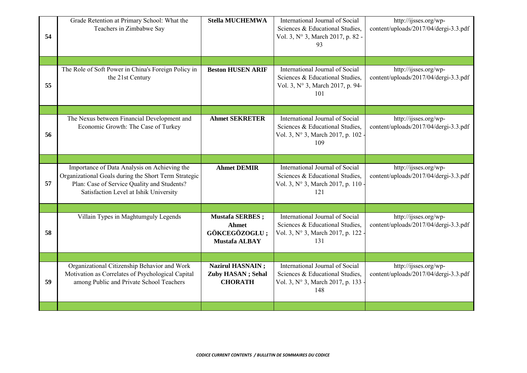| 54 | Grade Retention at Primary School: What the<br>Teachers in Zimbabwe Say                                                                                                                       | <b>Stella MUCHEMWA</b>                                                           | International Journal of Social<br>Sciences & Educational Studies,<br>Vol. 3, N° 3, March 2017, p. 82 -<br>93 | http://ijsses.org/wp-<br>content/uploads/2017/04/dergi-3.3.pdf |
|----|-----------------------------------------------------------------------------------------------------------------------------------------------------------------------------------------------|----------------------------------------------------------------------------------|---------------------------------------------------------------------------------------------------------------|----------------------------------------------------------------|
| 55 | The Role of Soft Power in China's Foreign Policy in<br>the 21st Century                                                                                                                       | <b>Beston HUSEN ARIF</b>                                                         | International Journal of Social<br>Sciences & Educational Studies,<br>Vol. 3, N° 3, March 2017, p. 94-<br>101 | http://ijsses.org/wp-<br>content/uploads/2017/04/dergi-3.3.pdf |
| 56 | The Nexus between Financial Development and<br>Economic Growth: The Case of Turkey                                                                                                            | <b>Ahmet SEKRETER</b>                                                            | International Journal of Social<br>Sciences & Educational Studies,<br>Vol. 3, N° 3, March 2017, p. 102<br>109 | http://ijsses.org/wp-<br>content/uploads/2017/04/dergi-3.3.pdf |
| 57 | Importance of Data Analysis on Achieving the<br>Organizational Goals during the Short Term Strategic<br>Plan: Case of Service Quality and Students?<br>Satisfaction Level at Ishik University | <b>Ahmet DEMIR</b>                                                               | International Journal of Social<br>Sciences & Educational Studies,<br>Vol. 3, N° 3, March 2017, p. 110<br>121 | http://ijsses.org/wp-<br>content/uploads/2017/04/dergi-3.3.pdf |
| 58 | Villain Types in Maghtumguly Legends                                                                                                                                                          | <b>Mustafa SERBES</b> ;<br><b>Ahmet</b><br>GÖKCEGÖZOGLU;<br><b>Mustafa ALBAY</b> | International Journal of Social<br>Sciences & Educational Studies,<br>Vol. 3, N° 3, March 2017, p. 122<br>131 | http://ijsses.org/wp-<br>content/uploads/2017/04/dergi-3.3.pdf |
| 59 | Organizational Citizenship Behavior and Work<br>Motivation as Correlates of Psychological Capital<br>among Public and Private School Teachers                                                 | <b>Nazirul HASNAIN;</b><br>Zuby HASAN; Sehal<br><b>CHORATH</b>                   | International Journal of Social<br>Sciences & Educational Studies,<br>Vol. 3, N° 3, March 2017, p. 133<br>148 | http://ijsses.org/wp-<br>content/uploads/2017/04/dergi-3.3.pdf |
|    |                                                                                                                                                                                               |                                                                                  |                                                                                                               |                                                                |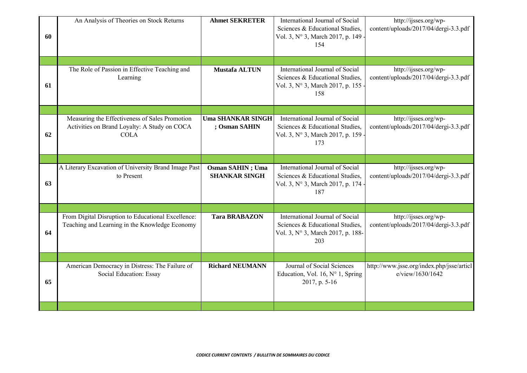| 60 | An Analysis of Theories on Stock Returns                                                                      | <b>Ahmet SEKRETER</b>                            | International Journal of Social<br>Sciences & Educational Studies,<br>Vol. 3, N° 3, March 2017, p. 149<br>154  | http://ijsses.org/wp-<br>content/uploads/2017/04/dergi-3.3.pdf |
|----|---------------------------------------------------------------------------------------------------------------|--------------------------------------------------|----------------------------------------------------------------------------------------------------------------|----------------------------------------------------------------|
|    |                                                                                                               |                                                  |                                                                                                                |                                                                |
| 61 | The Role of Passion in Effective Teaching and<br>Learning                                                     | <b>Mustafa ALTUN</b>                             | International Journal of Social<br>Sciences & Educational Studies,<br>Vol. 3, N° 3, March 2017, p. 155<br>158  | http://ijsses.org/wp-<br>content/uploads/2017/04/dergi-3.3.pdf |
|    |                                                                                                               |                                                  |                                                                                                                |                                                                |
| 62 | Measuring the Effectiveness of Sales Promotion<br>Activities on Brand Loyalty: A Study on COCA<br><b>COLA</b> | <b>Uma SHANKAR SINGH</b><br>; Osman SAHIN        | International Journal of Social<br>Sciences & Educational Studies,<br>Vol. 3, N° 3, March 2017, p. 159<br>173  | http://ijsses.org/wp-<br>content/uploads/2017/04/dergi-3.3.pdf |
|    |                                                                                                               |                                                  |                                                                                                                |                                                                |
| 63 | A Literary Excavation of University Brand Image Past<br>to Present                                            | <b>Osman SAHIN</b> ; Uma<br><b>SHANKAR SINGH</b> | International Journal of Social<br>Sciences & Educational Studies,<br>Vol. 3, N° 3, March 2017, p. 174<br>187  | http://ijsses.org/wp-<br>content/uploads/2017/04/dergi-3.3.pdf |
|    |                                                                                                               |                                                  |                                                                                                                |                                                                |
| 64 | From Digital Disruption to Educational Excellence:<br>Teaching and Learning in the Knowledge Economy          | <b>Tara BRABAZON</b>                             | International Journal of Social<br>Sciences & Educational Studies,<br>Vol. 3, N° 3, March 2017, p. 188-<br>203 | http://ijsses.org/wp-<br>content/uploads/2017/04/dergi-3.3.pdf |
|    |                                                                                                               |                                                  |                                                                                                                |                                                                |
| 65 | American Democracy in Distress: The Failure of<br>Social Education: Essay                                     | <b>Richard NEUMANN</b>                           | Journal of Social Sciences<br>Education, Vol. 16, N° 1, Spring<br>2017, p. 5-16                                | http://www.jsse.org/index.php/jsse/articl<br>e/view/1630/1642  |
|    |                                                                                                               |                                                  |                                                                                                                |                                                                |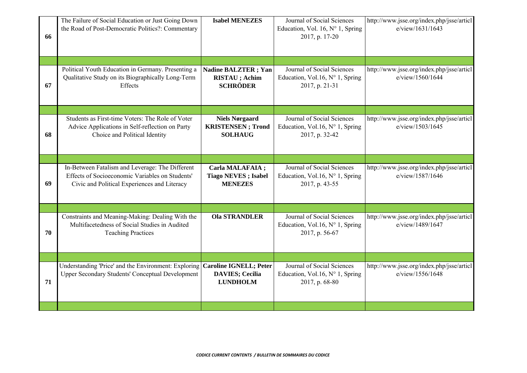| 66 | The Failure of Social Education or Just Going Down<br>the Road of Post-Democratic Politics?: Commentary                                            | <b>Isabel MENEZES</b>                                                      | Journal of Social Sciences<br>Education, Vol. 16, $N^{\circ}$ 1, Spring<br>2017, p. 17-20 | http://www.jsse.org/index.php/jsse/articl<br>e/view/1631/1643 |
|----|----------------------------------------------------------------------------------------------------------------------------------------------------|----------------------------------------------------------------------------|-------------------------------------------------------------------------------------------|---------------------------------------------------------------|
| 67 | Political Youth Education in Germany. Presenting a<br>Qualitative Study on its Biographically Long-Term<br>Effects                                 | <b>Nadine BALZTER</b> ; Yan<br><b>RISTAU</b> ; Achim<br><b>SCHRÖDER</b>    | Journal of Social Sciences<br>Education, Vol.16, N° 1, Spring<br>2017, p. 21-31           | http://www.jsse.org/index.php/jsse/articl<br>e/view/1560/1644 |
| 68 | Students as First-time Voters: The Role of Voter<br>Advice Applications in Self-reflection on Party<br>Choice and Political Identity               | <b>Niels Nørgaard</b><br><b>KRISTENSEN</b> ; Trond<br><b>SOLHAUG</b>       | Journal of Social Sciences<br>Education, Vol.16, N° 1, Spring<br>2017, p. 32-42           | http://www.jsse.org/index.php/jsse/articl<br>e/view/1503/1645 |
| 69 | In-Between Fatalism and Leverage: The Different<br>Effects of Socioeconomic Variables on Students'<br>Civic and Political Experiences and Literacy | Carla MALAFAIA;<br><b>Tiago NEVES</b> ; Isabel<br><b>MENEZES</b>           | Journal of Social Sciences<br>Education, Vol.16, N° 1, Spring<br>2017, p. 43-55           | http://www.jsse.org/index.php/jsse/articl<br>e/view/1587/1646 |
| 70 | Constraints and Meaning-Making: Dealing With the<br>Multifacetedness of Social Studies in Audited<br><b>Teaching Practices</b>                     | <b>Ola STRANDLER</b>                                                       | Journal of Social Sciences<br>Education, Vol.16, N° 1, Spring<br>2017, p. 56-67           | http://www.jsse.org/index.php/jsse/articl<br>e/view/1489/1647 |
| 71 | Understanding 'Price' and the Environment: Exploring<br>Upper Secondary Students' Conceptual Development                                           | <b>Caroline IGNELL; Peter</b><br><b>DAVIES; Cecilia</b><br><b>LUNDHOLM</b> | Journal of Social Sciences<br>Education, Vol.16, N° 1, Spring<br>2017, p. 68-80           | http://www.jsse.org/index.php/jsse/articl<br>e/view/1556/1648 |
|    |                                                                                                                                                    |                                                                            |                                                                                           |                                                               |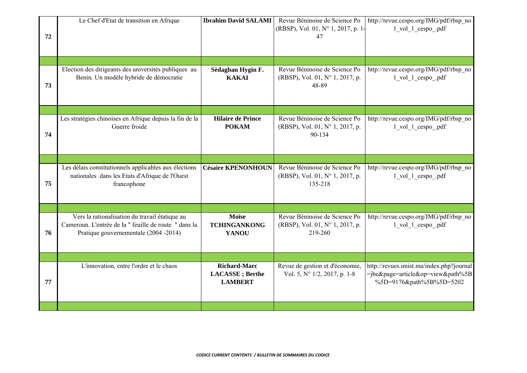| 72 | Le Chef d'Etat de transition en Afrique                                                                                                         | <b>Ibrahim David SALAMI</b>                                      | Revue Béninoise de Science Po<br>(RBSP), Vol. 01, N° 1, 2017, p. 1-<br>47   | http://revue.cespo.org/IMG/pdf/rbsp_no<br>1 vol 1 cespo .pdf                                                 |
|----|-------------------------------------------------------------------------------------------------------------------------------------------------|------------------------------------------------------------------|-----------------------------------------------------------------------------|--------------------------------------------------------------------------------------------------------------|
|    |                                                                                                                                                 |                                                                  |                                                                             |                                                                                                              |
| 73 | Election des dirigeants des universités publiques au<br>Benin. Un modèle hybride de démocratie                                                  | Sèdagban Hygin F.<br><b>KAKAI</b>                                | Revue Béninoise de Science Po<br>(RBSP), Vol. 01, N° 1, 2017, p.<br>48-89   | http://revue.cespo.org/IMG/pdf/rbsp_no<br>1 vol 1 cespo .pdf                                                 |
| 74 | Les stratégies chinoises en Afrique depuis la fin de la<br>Guerre froide                                                                        | <b>Hilaire de Prince</b><br><b>POKAM</b>                         | Revue Béninoise de Science Po<br>(RBSP), Vol. 01, N° 1, 2017, p.<br>90-134  | http://revue.cespo.org/IMG/pdf/rbsp_no<br>1 vol 1 cespo .pdf                                                 |
| 75 | Les délais constitutionnels applicables aux élections<br>nationales dans les Etats d'Afrique de l'Ouest<br>francophone                          | <b>Césaire KPENONHOUN</b>                                        | Revue Béninoise de Science Po<br>(RBSP), Vol. 01, N° 1, 2017, p.<br>135-218 | http://revue.cespo.org/IMG/pdf/rbsp_no<br>1 vol 1 cespo .pdf                                                 |
| 76 | Vers la rationalisation du travail étatique au<br>Cameroun. L'entrée de la "feuille de route " dans la<br>Pratique gouvernementale (2004 -2014) | Moïse<br><b>TCHINGANKONG</b><br><b>YANOU</b>                     | Revue Béninoise de Science Po<br>(RBSP), Vol. 01, N° 1, 2017, p.<br>219-260 | http://revue.cespo.org/IMG/pdf/rbsp_no<br>1 vol 1 cespo .pdf                                                 |
| 77 | L'innovation, entre l'ordre et le chaos                                                                                                         | <b>Richard-Marc</b><br><b>LACASSE</b> ; Berthe<br><b>LAMBERT</b> | Revue de gestion et d'économie,<br>Vol. 5, N° 1/2, 2017, p. 1-8             | http://revues.imist.ma/index.php?journal<br>$=$ jbe&page=article&op=view&path%5B<br>%5D=9176&path%5B%5D=5202 |
|    |                                                                                                                                                 |                                                                  |                                                                             |                                                                                                              |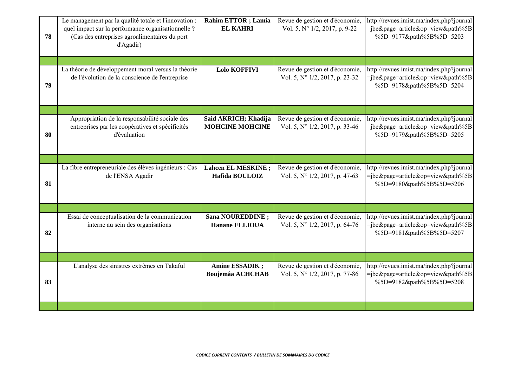| 78 | Le management par la qualité totale et l'innovation :<br>quel impact sur la performance organisationnelle ?<br>(Cas des entreprises agroalimentaires du port<br>d'Agadir) | <b>Rahim ETTOR</b> ; Lamia<br><b>EL KAHRI</b>  | Revue de gestion et d'économie,<br>Vol. 5, N° 1/2, 2017, p. 9-22  | http://revues.imist.ma/index.php?journal<br>=jbe&page=article&op=view&path%5B<br>%5D=9177&path%5B%5D=5203    |
|----|---------------------------------------------------------------------------------------------------------------------------------------------------------------------------|------------------------------------------------|-------------------------------------------------------------------|--------------------------------------------------------------------------------------------------------------|
| 79 | La théorie de développement moral versus la théorie<br>de l'évolution de la conscience de l'entreprise                                                                    | <b>Lolo KOFFIVI</b>                            | Revue de gestion et d'économie,<br>Vol. 5, N° 1/2, 2017, p. 23-32 | http://revues.imist.ma/index.php?journal<br>=jbe&page=article&op=view&path%5B<br>%5D=9178&path%5B%5D=5204    |
| 80 | Appropriation de la responsabilité sociale des<br>entreprises par les coopératives et spécificités<br>d'évaluation                                                        | Said AKRICH; Khadija<br><b>MOHCINE MOHCINE</b> | Revue de gestion et d'économie,<br>Vol. 5, N° 1/2, 2017, p. 33-46 | http://revues.imist.ma/index.php?journal<br>=jbe&page=article&op=view&path%5B<br>%5D=9179&path%5B%5D=5205    |
| 81 | La fibre entrepreneuriale des élèves ingénieurs : Cas<br>de l'ENSA Agadir                                                                                                 | <b>Lahcen EL MESKINE</b> ;<br>Hafida BOULOIZ   | Revue de gestion et d'économie,<br>Vol. 5, N° 1/2, 2017, p. 47-63 | http://revues.imist.ma/index.php?journal<br>=jbe&page=article&op=view&path%5B<br>%5D=9180&path%5B%5D=5206    |
| 82 | Essai de conceptualisation de la communication<br>interne au sein des organisations                                                                                       | Sana NOUREDDINE;<br><b>Hanane ELLIOUA</b>      | Revue de gestion et d'économie,<br>Vol. 5, N° 1/2, 2017, p. 64-76 | http://revues.imist.ma/index.php?journal<br>=jbe&page=article&op=view&path%5B<br>%5D=9181&path%5B%5D=5207    |
| 83 | L'analyse des sinistres extrêmes en Takaful                                                                                                                               | Amine ESSADIK;<br><b>Boujemâa ACHCHAB</b>      | Revue de gestion et d'économie,<br>Vol. 5, N° 1/2, 2017, p. 77-86 | http://revues.imist.ma/index.php?journal<br>$=$ jbe&page=article&op=view&path%5B<br>%5D=9182&path%5B%5D=5208 |
|    |                                                                                                                                                                           |                                                |                                                                   |                                                                                                              |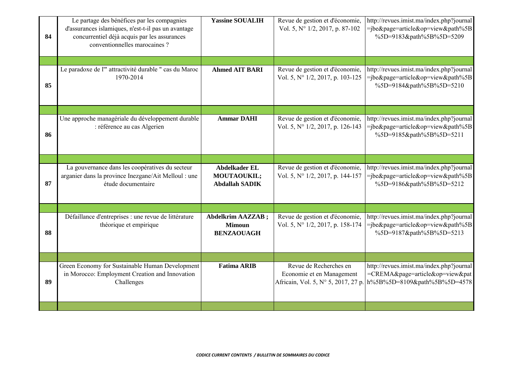| 84 | Le partage des bénéfices par les compagnies<br>d'assurances islamiques, n'est-t-il pas un avantage<br>concurrentiel déjà acquis par les assurances<br>conventionnelles marocaines? | <b>Yassine SOUALIH</b>                                         | Revue de gestion et d'économie,<br>Vol. 5, N° 1/2, 2017, p. 87-102                         | http://revues.imist.ma/index.php?journal<br>=jbe&page=article&op=view&path%5B<br>%5D=9183&path%5B%5D=5209    |
|----|------------------------------------------------------------------------------------------------------------------------------------------------------------------------------------|----------------------------------------------------------------|--------------------------------------------------------------------------------------------|--------------------------------------------------------------------------------------------------------------|
| 85 | Le paradoxe de l'" attractivité durable " cas du Maroc<br>1970-2014                                                                                                                | <b>Ahmed AIT BARI</b>                                          | Revue de gestion et d'économie,<br>Vol. 5, N° 1/2, 2017, p. 103-125                        | http://revues.imist.ma/index.php?journal<br>=jbe&page=article&op=view&path%5B<br>%5D=9184&path%5B%5D=5210    |
| 86 | Une approche managériale du développement durable<br>: référence au cas Algerien                                                                                                   | <b>Ammar DAHI</b>                                              | Revue de gestion et d'économie,<br>Vol. 5, N° 1/2, 2017, p. 126-143                        | http://revues.imist.ma/index.php?journal<br>=jbe&page=article&op=view&path%5B<br>%5D=9185&path%5B%5D=5211    |
| 87 | La gouvernance dans les coopératives du secteur<br>arganier dans la province Inezgane/Ait Melloul : une<br>étude documentaire                                                      | <b>Abdelkader EL</b><br>MOUTAOUKIL;<br><b>Abdallah SADIK</b>   | Revue de gestion et d'économie,<br>Vol. 5, N° 1/2, 2017, p. 144-157                        | http://revues.imist.ma/index.php?journal<br>=jbe&page=article&op=view&path%5B<br>%5D=9186&path%5B%5D=5212    |
| 88 | Défaillance d'entreprises : une revue de littérature<br>théorique et empirique                                                                                                     | <b>Abdelkrim AAZZAB;</b><br><b>Mimoun</b><br><b>BENZAOUAGH</b> | Revue de gestion et d'économie,<br>Vol. 5, N° 1/2, 2017, p. 158-174                        | http://revues.imist.ma/index.php?journal<br>$=$ jbe&page=article&op=view&path%5B<br>%5D=9187&path%5B%5D=5213 |
| 89 | Green Economy for Sustainable Human Development<br>in Morocco: Employment Creation and Innovation<br>Challenges                                                                    | <b>Fatima ARIB</b>                                             | Revue de Recherches en<br>Economie et en Management<br>Africain, Vol. 5, N° 5, 2017, 27 p. | http://revues.imist.ma/index.php?journal<br>=CREMA&page=article&op=view&pat<br>h%5B%5D=8109&path%5B%5D=4578  |
|    |                                                                                                                                                                                    |                                                                |                                                                                            |                                                                                                              |